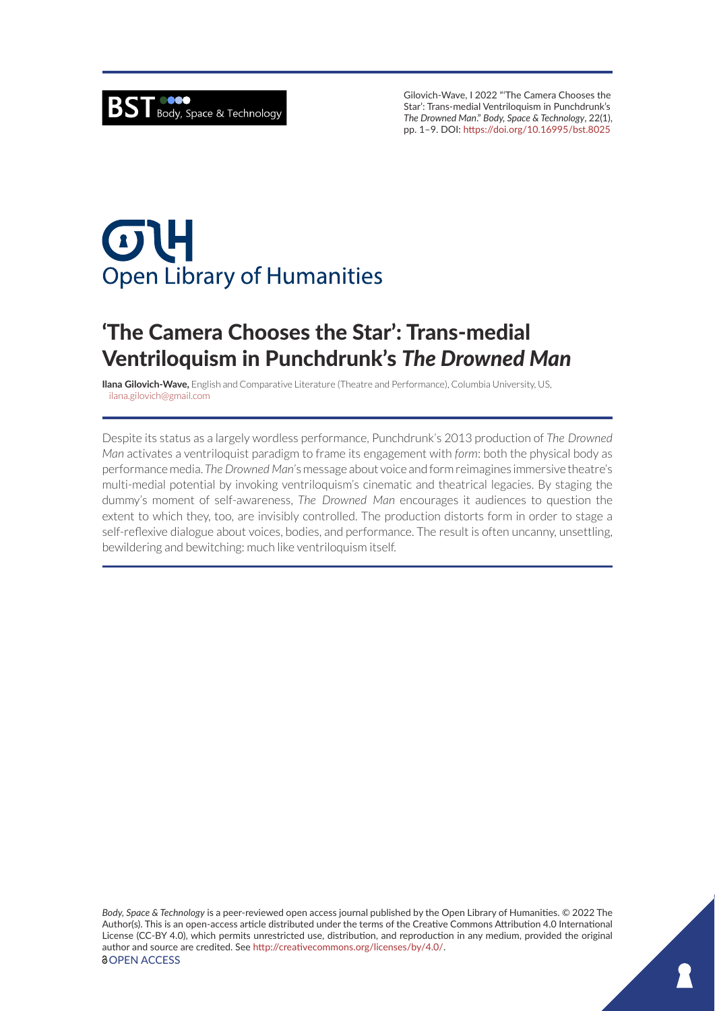Gilovich-Wave, I 2022 "'The Camera Chooses the Star': Trans-medial Ventriloquism in Punchdrunk's *The Drowned Man*." *Body, Space & Technology*, 22(1), pp. 1–9. DOI: <https://doi.org/10.16995/bst.8025>

# $\sigma$ U **Open Library of Humanities**

## 'The Camera Chooses the Star': Trans-medial Ventriloquism in Punchdrunk's *The Drowned Man*

**Ilana Gilovich-Wave,** English and Comparative Literature (Theatre and Performance), Columbia University, US, [ilana.gilovich@gmail.com](mailto:ilana.gilovich@gmail.com)

Despite its status as a largely wordless performance, Punchdrunk's 2013 production of *The Drowned Man* activates a ventriloquist paradigm to frame its engagement with *form*: both the physical body as performance media. *The Drowned Man*'s message about voice and form reimagines immersive theatre's multi-medial potential by invoking ventriloquism's cinematic and theatrical legacies. By staging the dummy's moment of self-awareness, *The Drowned Man* encourages it audiences to question the extent to which they, too, are invisibly controlled. The production distorts form in order to stage a self-reflexive dialogue about voices, bodies, and performance. The result is often uncanny, unsettling, bewildering and bewitching: much like ventriloquism itself.

*Body, Space & Technology* is a peer-reviewed open access journal published by the Open Library of Humanities. © 2022 The Author(s). This is an open-access article distributed under the terms of the Creative Commons Attribution 4.0 International License (CC-BY 4.0), which permits unrestricted use, distribution, and reproduction in any medium, provided the original author and source are credited. See <http://creativecommons.org/licenses/by/4.0/>. *<u>OOPEN ACCESS</u>*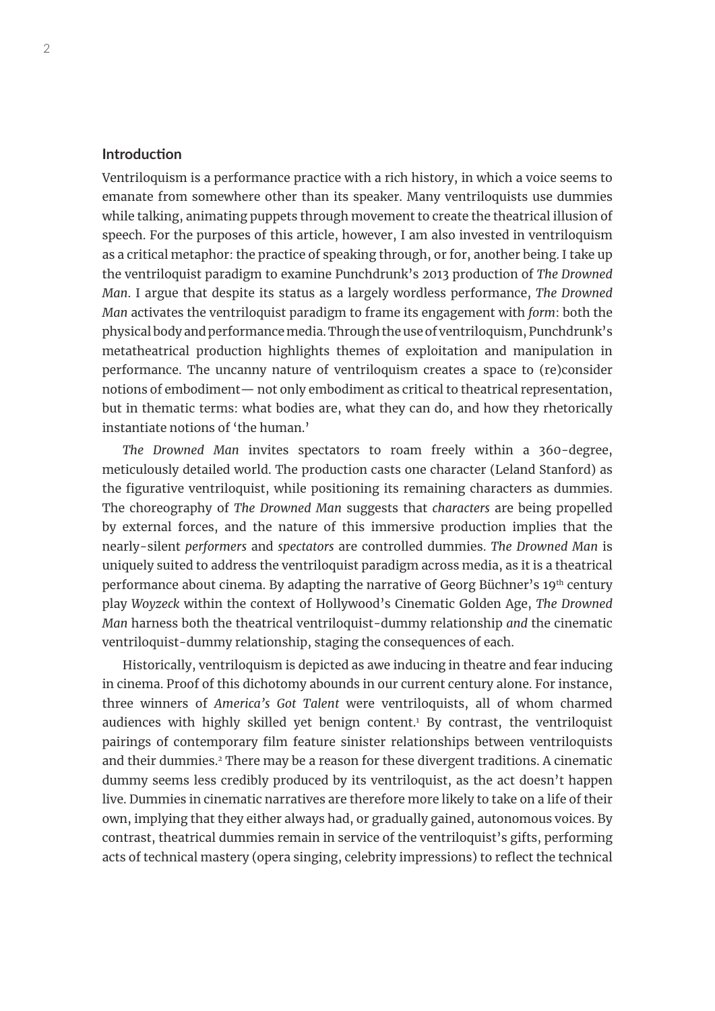### **Introduction**

Ventriloquism is a performance practice with a rich history, in which a voice seems to emanate from somewhere other than its speaker. Many ventriloquists use dummies while talking, animating puppets through movement to create the theatrical illusion of speech. For the purposes of this article, however, I am also invested in ventriloquism as a critical metaphor: the practice of speaking through, or for, another being. I take up the ventriloquist paradigm to examine Punchdrunk's 2013 production of *The Drowned Man*. I argue that despite its status as a largely wordless performance, *The Drowned Man* activates the ventriloquist paradigm to frame its engagement with *form*: both the physical body and performance media. Through the use of ventriloquism, Punchdrunk's metatheatrical production highlights themes of exploitation and manipulation in performance. The uncanny nature of ventriloquism creates a space to (re)consider notions of embodiment— not only embodiment as critical to theatrical representation, but in thematic terms: what bodies are, what they can do, and how they rhetorically instantiate notions of 'the human.'

*The Drowned Man* invites spectators to roam freely within a 360-degree, meticulously detailed world. The production casts one character (Leland Stanford) as the figurative ventriloquist, while positioning its remaining characters as dummies. The choreography of *The Drowned Man* suggests that *characters* are being propelled by external forces, and the nature of this immersive production implies that the nearly-silent *performers* and *spectators* are controlled dummies. *The Drowned Man* is uniquely suited to address the ventriloquist paradigm across media, as it is a theatrical performance about cinema. By adapting the narrative of Georg Büchner's 19th century play *Woyzeck* within the context of Hollywood's Cinematic Golden Age, *The Drowned Man* harness both the theatrical ventriloquist-dummy relationship *and* the cinematic ventriloquist-dummy relationship, staging the consequences of each.

Historically, ventriloquism is depicted as awe inducing in theatre and fear inducing in cinema. Proof of this dichotomy abounds in our current century alone. For instance, three winners of *America's Got Talent* were ventriloquists, all of whom charmed audiences with highly skilled yet benign content.1 By contrast, the ventriloquist pairings of contemporary film feature sinister relationships between ventriloquists and their dummies.<sup>2</sup> There may be a reason for these divergent traditions. A cinematic dummy seems less credibly produced by its ventriloquist, as the act doesn't happen live. Dummies in cinematic narratives are therefore more likely to take on a life of their own, implying that they either always had, or gradually gained, autonomous voices. By contrast, theatrical dummies remain in service of the ventriloquist's gifts, performing acts of technical mastery (opera singing, celebrity impressions) to reflect the technical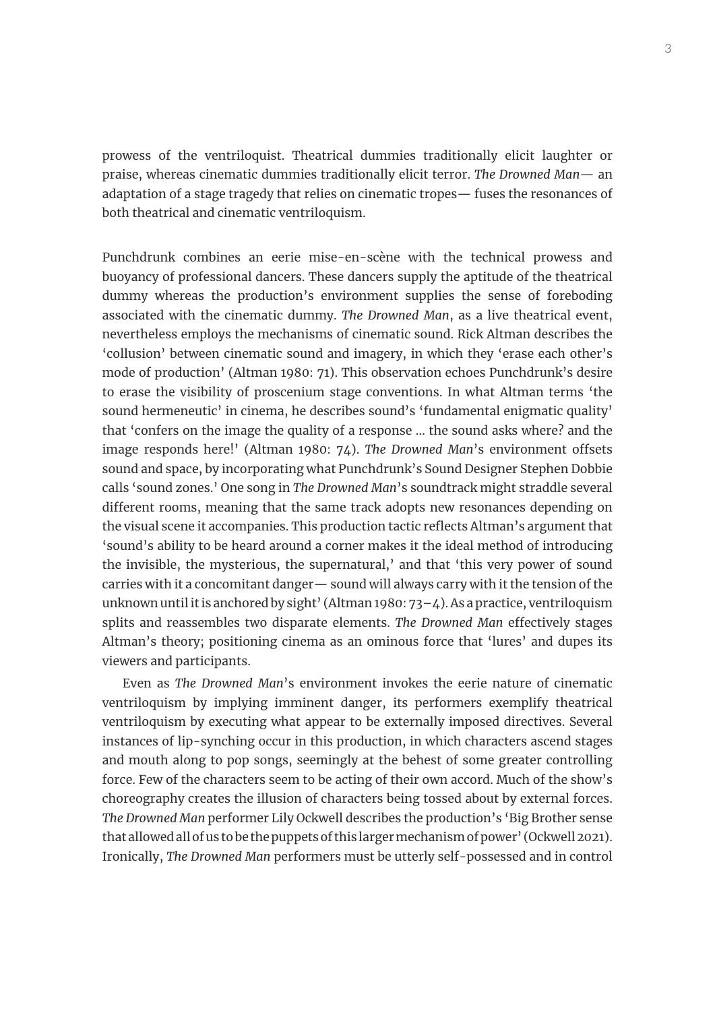prowess of the ventriloquist. Theatrical dummies traditionally elicit laughter or praise, whereas cinematic dummies traditionally elicit terror. *The Drowned Man*— an adaptation of a stage tragedy that relies on cinematic tropes— fuses the resonances of both theatrical and cinematic ventriloquism.

Punchdrunk combines an eerie mise-en-scène with the technical prowess and buoyancy of professional dancers. These dancers supply the aptitude of the theatrical dummy whereas the production's environment supplies the sense of foreboding associated with the cinematic dummy. *The Drowned Man*, as a live theatrical event, nevertheless employs the mechanisms of cinematic sound. Rick Altman describes the 'collusion' between cinematic sound and imagery, in which they 'erase each other's mode of production' (Altman 1980: 71). This observation echoes Punchdrunk's desire to erase the visibility of proscenium stage conventions. In what Altman terms 'the sound hermeneutic' in cinema, he describes sound's 'fundamental enigmatic quality' that 'confers on the image the quality of a response … the sound asks where? and the image responds here!' (Altman 1980: 74). *The Drowned Man*'s environment offsets sound and space, by incorporating what Punchdrunk's Sound Designer Stephen Dobbie calls 'sound zones.' One song in *The Drowned Man*'s soundtrack might straddle several different rooms, meaning that the same track adopts new resonances depending on the visual scene it accompanies. This production tactic reflects Altman's argument that 'sound's ability to be heard around a corner makes it the ideal method of introducing the invisible, the mysterious, the supernatural,' and that 'this very power of sound carries with it a concomitant danger— sound will always carry with it the tension of the unknown until it is anchored by sight' (Altman 1980: 73–4). As a practice, ventriloquism splits and reassembles two disparate elements. *The Drowned Man* effectively stages Altman's theory; positioning cinema as an ominous force that 'lures' and dupes its viewers and participants.

Even as *The Drowned Man*'s environment invokes the eerie nature of cinematic ventriloquism by implying imminent danger, its performers exemplify theatrical ventriloquism by executing what appear to be externally imposed directives. Several instances of lip-synching occur in this production, in which characters ascend stages and mouth along to pop songs, seemingly at the behest of some greater controlling force. Few of the characters seem to be acting of their own accord. Much of the show's choreography creates the illusion of characters being tossed about by external forces. *The Drowned Man* performer Lily Ockwell describes the production's 'Big Brother sense that allowed all of us to be the puppets of this larger mechanism of power' (Ockwell 2021). Ironically, *The Drowned Man* performers must be utterly self-possessed and in control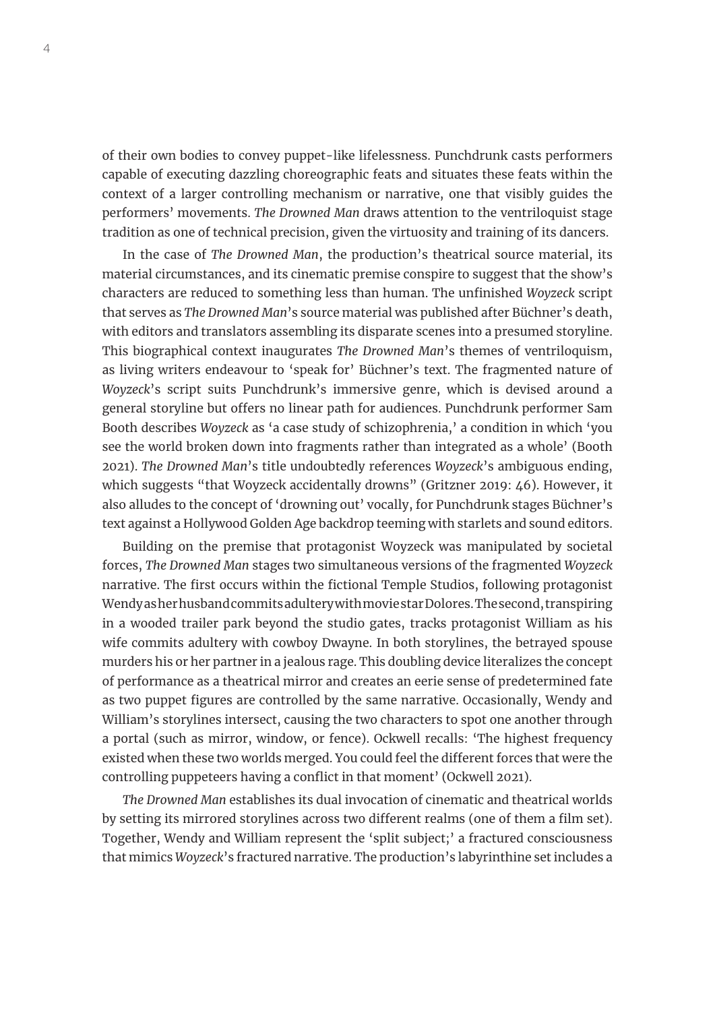of their own bodies to convey puppet-like lifelessness. Punchdrunk casts performers capable of executing dazzling choreographic feats and situates these feats within the context of a larger controlling mechanism or narrative, one that visibly guides the performers' movements. *The Drowned Man* draws attention to the ventriloquist stage tradition as one of technical precision, given the virtuosity and training of its dancers.

In the case of *The Drowned Man*, the production's theatrical source material, its material circumstances, and its cinematic premise conspire to suggest that the show's characters are reduced to something less than human. The unfinished *Woyzeck* script that serves as *The Drowned Man*'s source material was published after Büchner's death, with editors and translators assembling its disparate scenes into a presumed storyline. This biographical context inaugurates *The Drowned Man*'s themes of ventriloquism, as living writers endeavour to 'speak for' Büchner's text. The fragmented nature of *Woyzeck*'s script suits Punchdrunk's immersive genre, which is devised around a general storyline but offers no linear path for audiences. Punchdrunk performer Sam Booth describes *Woyzeck* as 'a case study of schizophrenia,' a condition in which 'you see the world broken down into fragments rather than integrated as a whole' (Booth 2021). *The Drowned Man*'s title undoubtedly references *Woyzeck*'s ambiguous ending, which suggests "that Woyzeck accidentally drowns" (Gritzner 2019: 46). However, it also alludes to the concept of 'drowning out' vocally, for Punchdrunk stages Büchner's text against a Hollywood Golden Age backdrop teeming with starlets and sound editors.

Building on the premise that protagonist Woyzeck was manipulated by societal forces, *The Drowned Man* stages two simultaneous versions of the fragmented *Woyzeck* narrative. The first occurs within the fictional Temple Studios, following protagonist Wendy as her husband commits adultery with movie star Dolores. The second, transpiring in a wooded trailer park beyond the studio gates, tracks protagonist William as his wife commits adultery with cowboy Dwayne. In both storylines, the betrayed spouse murders his or her partner in a jealous rage. This doubling device literalizes the concept of performance as a theatrical mirror and creates an eerie sense of predetermined fate as two puppet figures are controlled by the same narrative. Occasionally, Wendy and William's storylines intersect, causing the two characters to spot one another through a portal (such as mirror, window, or fence). Ockwell recalls: 'The highest frequency existed when these two worlds merged. You could feel the different forces that were the controlling puppeteers having a conflict in that moment' (Ockwell 2021).

*The Drowned Man* establishes its dual invocation of cinematic and theatrical worlds by setting its mirrored storylines across two different realms (one of them a film set). Together, Wendy and William represent the 'split subject;' a fractured consciousness that mimics *Woyzeck*'s fractured narrative. The production's labyrinthine set includes a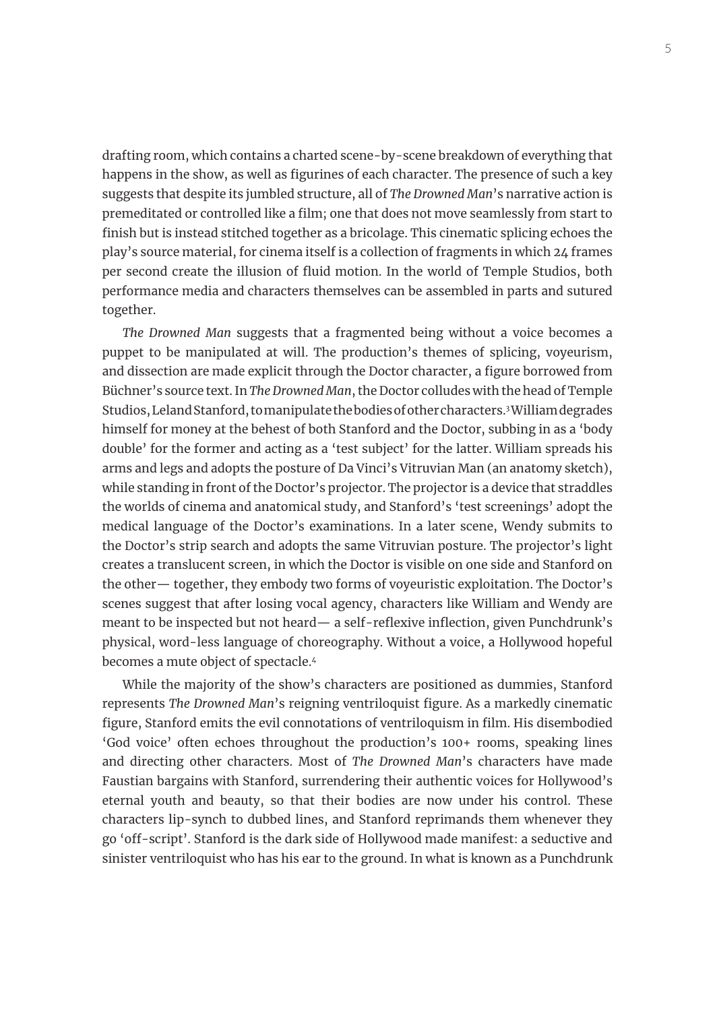drafting room, which contains a charted scene-by-scene breakdown of everything that happens in the show, as well as figurines of each character. The presence of such a key suggests that despite its jumbled structure, all of *The Drowned Man*'s narrative action is premeditated or controlled like a film; one that does not move seamlessly from start to finish but is instead stitched together as a bricolage. This cinematic splicing echoes the play's source material, for cinema itself is a collection of fragments in which 24 frames per second create the illusion of fluid motion. In the world of Temple Studios, both performance media and characters themselves can be assembled in parts and sutured together.

*The Drowned Man* suggests that a fragmented being without a voice becomes a puppet to be manipulated at will. The production's themes of splicing, voyeurism, and dissection are made explicit through the Doctor character, a figure borrowed from Büchner's source text. In *The Drowned Man*, the Doctor colludes with the head of Temple Studios, Leland Stanford, to manipulate the bodies of other characters.3 William degrades himself for money at the behest of both Stanford and the Doctor, subbing in as a 'body double' for the former and acting as a 'test subject' for the latter. William spreads his arms and legs and adopts the posture of Da Vinci's Vitruvian Man (an anatomy sketch), while standing in front of the Doctor's projector. The projector is a device that straddles the worlds of cinema and anatomical study, and Stanford's 'test screenings' adopt the medical language of the Doctor's examinations. In a later scene, Wendy submits to the Doctor's strip search and adopts the same Vitruvian posture. The projector's light creates a translucent screen, in which the Doctor is visible on one side and Stanford on the other— together, they embody two forms of voyeuristic exploitation. The Doctor's scenes suggest that after losing vocal agency, characters like William and Wendy are meant to be inspected but not heard— a self-reflexive inflection, given Punchdrunk's physical, word-less language of choreography. Without a voice, a Hollywood hopeful becomes a mute object of spectacle.4

While the majority of the show's characters are positioned as dummies, Stanford represents *The Drowned Man*'s reigning ventriloquist figure. As a markedly cinematic figure, Stanford emits the evil connotations of ventriloquism in film. His disembodied 'God voice' often echoes throughout the production's 100+ rooms, speaking lines and directing other characters. Most of *The Drowned Man*'s characters have made Faustian bargains with Stanford, surrendering their authentic voices for Hollywood's eternal youth and beauty, so that their bodies are now under his control. These characters lip-synch to dubbed lines, and Stanford reprimands them whenever they go 'off-script'. Stanford is the dark side of Hollywood made manifest: a seductive and sinister ventriloquist who has his ear to the ground. In what is known as a Punchdrunk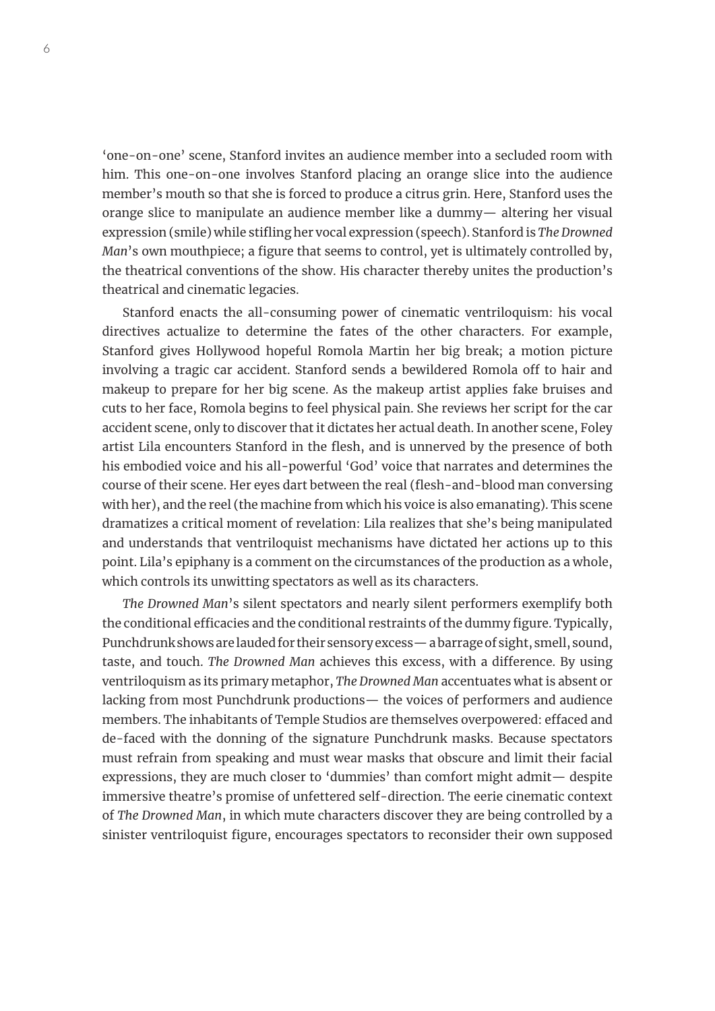'one-on-one' scene, Stanford invites an audience member into a secluded room with him. This one-on-one involves Stanford placing an orange slice into the audience member's mouth so that she is forced to produce a citrus grin. Here, Stanford uses the orange slice to manipulate an audience member like a dummy— altering her visual expression (smile) while stifling her vocal expression (speech). Stanford is *The Drowned Man*'s own mouthpiece; a figure that seems to control, yet is ultimately controlled by, the theatrical conventions of the show. His character thereby unites the production's theatrical and cinematic legacies.

Stanford enacts the all-consuming power of cinematic ventriloquism: his vocal directives actualize to determine the fates of the other characters. For example, Stanford gives Hollywood hopeful Romola Martin her big break; a motion picture involving a tragic car accident. Stanford sends a bewildered Romola off to hair and makeup to prepare for her big scene. As the makeup artist applies fake bruises and cuts to her face, Romola begins to feel physical pain. She reviews her script for the car accident scene, only to discover that it dictates her actual death. In another scene, Foley artist Lila encounters Stanford in the flesh, and is unnerved by the presence of both his embodied voice and his all-powerful 'God' voice that narrates and determines the course of their scene. Her eyes dart between the real (flesh-and-blood man conversing with her), and the reel (the machine from which his voice is also emanating). This scene dramatizes a critical moment of revelation: Lila realizes that she's being manipulated and understands that ventriloquist mechanisms have dictated her actions up to this point. Lila's epiphany is a comment on the circumstances of the production as a whole, which controls its unwitting spectators as well as its characters.

*The Drowned Man*'s silent spectators and nearly silent performers exemplify both the conditional efficacies and the conditional restraints of the dummy figure. Typically, Punchdrunk shows are lauded for their sensory excess— a barrage of sight, smell, sound, taste, and touch. *The Drowned Man* achieves this excess, with a difference. By using ventriloquism as its primary metaphor, *The Drowned Man* accentuates what is absent or lacking from most Punchdrunk productions— the voices of performers and audience members. The inhabitants of Temple Studios are themselves overpowered: effaced and de-faced with the donning of the signature Punchdrunk masks. Because spectators must refrain from speaking and must wear masks that obscure and limit their facial expressions, they are much closer to 'dummies' than comfort might admit— despite immersive theatre's promise of unfettered self-direction. The eerie cinematic context of *The Drowned Man*, in which mute characters discover they are being controlled by a sinister ventriloquist figure, encourages spectators to reconsider their own supposed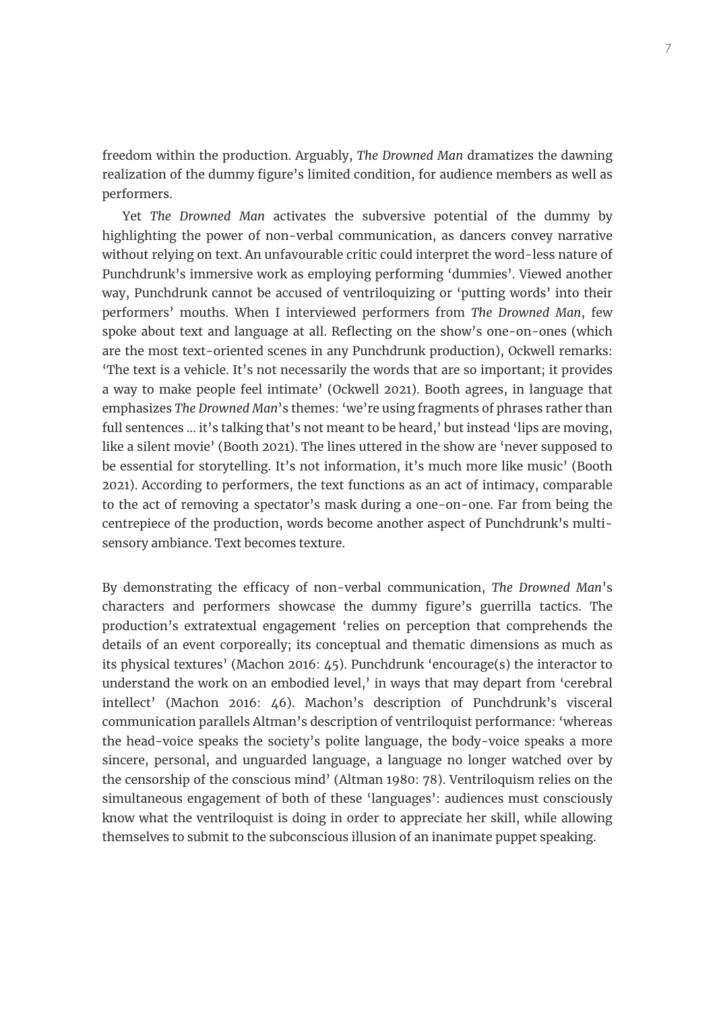freedom within the production. Arguably, *The Drowned Man* dramatizes the dawning realization of the dummy figure's limited condition, for audience members as well as performers.

Yet *The Drowned Man* activates the subversive potential of the dummy by highlighting the power of non-verbal communication, as dancers convey narrative without relying on text. An unfavourable critic could interpret the word-less nature of Punchdrunk's immersive work as employing performing 'dummies'. Viewed another way, Punchdrunk cannot be accused of ventriloquizing or 'putting words' into their performers' mouths. When I interviewed performers from *The Drowned Man*, few spoke about text and language at all. Reflecting on the show's one-on-ones (which are the most text-oriented scenes in any Punchdrunk production), Ockwell remarks: 'The text is a vehicle. It's not necessarily the words that are so important; it provides a way to make people feel intimate' (Ockwell 2021). Booth agrees, in language that emphasizes *The Drowned Man*'s themes: 'we're using fragments of phrases rather than full sentences ... it's talking that's not meant to be heard,' but instead 'lips are moving, like a silent movie' (Booth 2021). The lines uttered in the show are 'never supposed to be essential for storytelling. It's not information, it's much more like music' (Booth 2021). According to performers, the text functions as an act of intimacy, comparable to the act of removing a spectator's mask during a one-on-one. Far from being the centrepiece of the production, words become another aspect of Punchdrunk's multisensory ambiance. Text becomes texture.

By demonstrating the efficacy of non-verbal communication, *The Drowned Man*'s characters and performers showcase the dummy figure's guerrilla tactics. The production's extratextual engagement 'relies on perception that comprehends the details of an event corporeally; its conceptual and thematic dimensions as much as its physical textures' (Machon 2016: 45). Punchdrunk 'encourage(s) the interactor to understand the work on an embodied level,' in ways that may depart from 'cerebral intellect' (Machon 2016: 46). Machon's description of Punchdrunk's visceral communication parallels Altman's description of ventriloquist performance: 'whereas the head-voice speaks the society's polite language, the body-voice speaks a more sincere, personal, and unguarded language, a language no longer watched over by the censorship of the conscious mind' (Altman 1980: 78). Ventriloquism relies on the simultaneous engagement of both of these 'languages': audiences must consciously know what the ventriloquist is doing in order to appreciate her skill, while allowing themselves to submit to the subconscious illusion of an inanimate puppet speaking.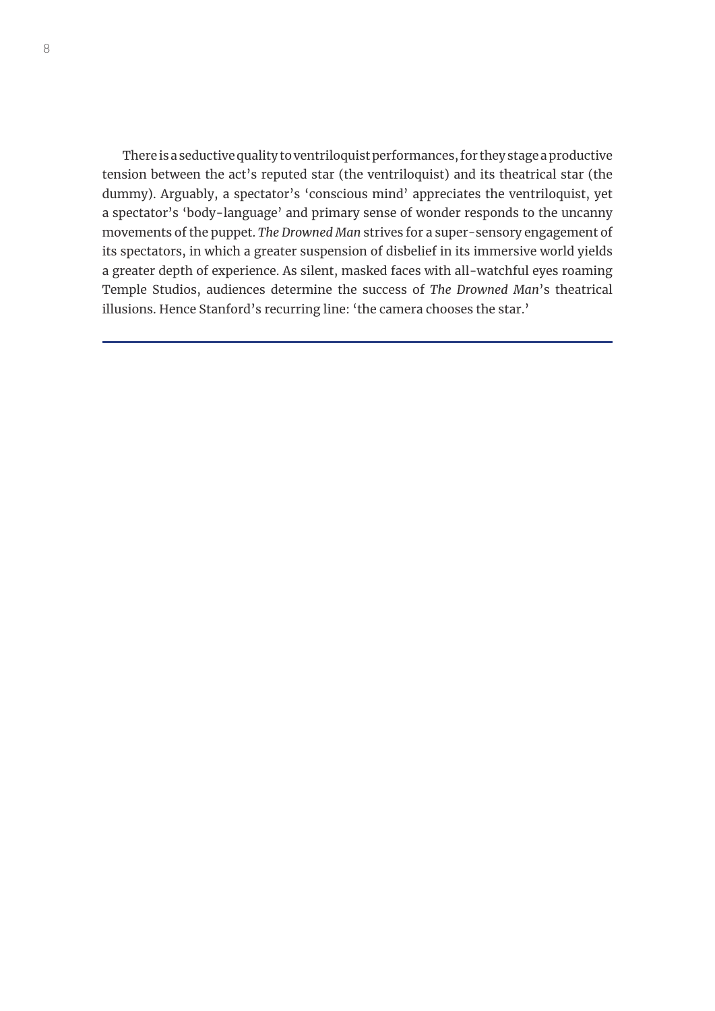There is a seductive quality to ventriloquist performances, for they stage a productive tension between the act's reputed star (the ventriloquist) and its theatrical star (the dummy). Arguably, a spectator's 'conscious mind' appreciates the ventriloquist, yet a spectator's 'body-language' and primary sense of wonder responds to the uncanny movements of the puppet. *The Drowned Man* strives for a super-sensory engagement of its spectators, in which a greater suspension of disbelief in its immersive world yields a greater depth of experience. As silent, masked faces with all-watchful eyes roaming Temple Studios, audiences determine the success of *The Drowned Man*'s theatrical illusions. Hence Stanford's recurring line: 'the camera chooses the star.'